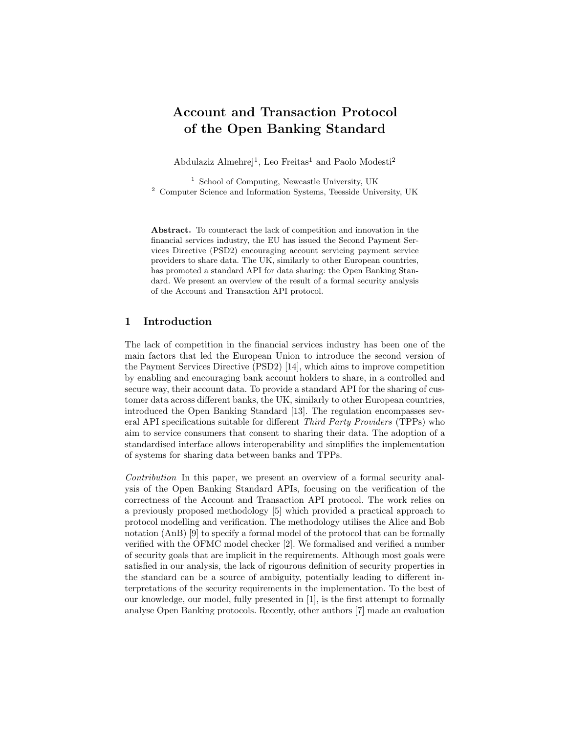# Account and Transaction Protocol of the Open Banking Standard

Abdulaziz Almehrej<sup>1</sup>, Leo Freitas<sup>1</sup> and Paolo Modesti<sup>2</sup>

<sup>1</sup> School of Computing, Newcastle University, UK <sup>2</sup> Computer Science and Information Systems, Teesside University, UK

Abstract. To counteract the lack of competition and innovation in the financial services industry, the EU has issued the Second Payment Services Directive (PSD2) encouraging account servicing payment service providers to share data. The UK, similarly to other European countries, has promoted a standard API for data sharing: the Open Banking Standard. We present an overview of the result of a formal security analysis of the Account and Transaction API protocol.

## 1 Introduction

The lack of competition in the financial services industry has been one of the main factors that led the European Union to introduce the second version of the Payment Services Directive (PSD2) [14], which aims to improve competition by enabling and encouraging bank account holders to share, in a controlled and secure way, their account data. To provide a standard API for the sharing of customer data across different banks, the UK, similarly to other European countries, introduced the Open Banking Standard [13]. The regulation encompasses several API specifications suitable for different Third Party Providers (TPPs) who aim to service consumers that consent to sharing their data. The adoption of a standardised interface allows interoperability and simplifies the implementation of systems for sharing data between banks and TPPs.

Contribution In this paper, we present an overview of a formal security analysis of the Open Banking Standard APIs, focusing on the verification of the correctness of the Account and Transaction API protocol. The work relies on a previously proposed methodology [5] which provided a practical approach to protocol modelling and verification. The methodology utilises the Alice and Bob notation (AnB) [9] to specify a formal model of the protocol that can be formally verified with the OFMC model checker [2]. We formalised and verified a number of security goals that are implicit in the requirements. Although most goals were satisfied in our analysis, the lack of rigourous definition of security properties in the standard can be a source of ambiguity, potentially leading to different interpretations of the security requirements in the implementation. To the best of our knowledge, our model, fully presented in [1], is the first attempt to formally analyse Open Banking protocols. Recently, other authors [7] made an evaluation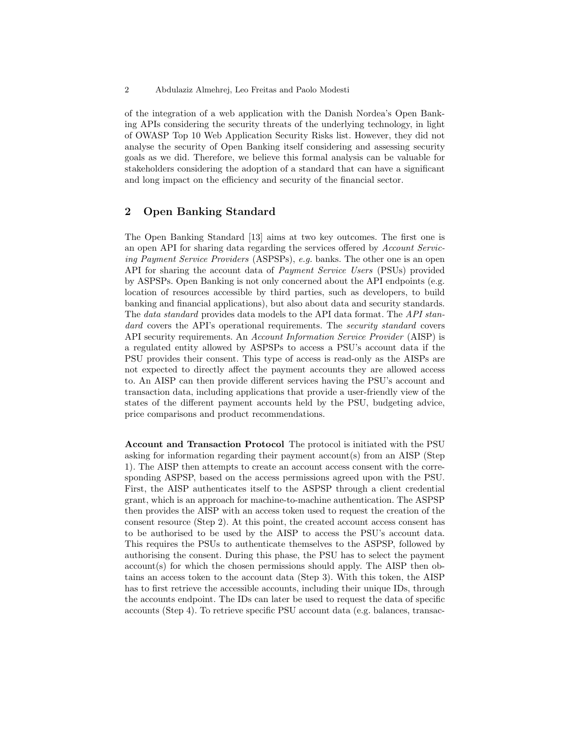2 Abdulaziz Almehrej, Leo Freitas and Paolo Modesti

of the integration of a web application with the Danish Nordea's Open Banking APIs considering the security threats of the underlying technology, in light of OWASP Top 10 Web Application Security Risks list. However, they did not analyse the security of Open Banking itself considering and assessing security goals as we did. Therefore, we believe this formal analysis can be valuable for stakeholders considering the adoption of a standard that can have a significant and long impact on the efficiency and security of the financial sector.

## 2 Open Banking Standard

The Open Banking Standard [13] aims at two key outcomes. The first one is an open API for sharing data regarding the services offered by Account Servicing Payment Service Providers (ASPSPs), e.g. banks. The other one is an open API for sharing the account data of *Payment Service Users* (PSUs) provided by ASPSPs. Open Banking is not only concerned about the API endpoints (e.g. location of resources accessible by third parties, such as developers, to build banking and financial applications), but also about data and security standards. The data standard provides data models to the API data format. The API standard covers the API's operational requirements. The *security standard* covers API security requirements. An Account Information Service Provider (AISP) is a regulated entity allowed by ASPSPs to access a PSU's account data if the PSU provides their consent. This type of access is read-only as the AISPs are not expected to directly affect the payment accounts they are allowed access to. An AISP can then provide different services having the PSU's account and transaction data, including applications that provide a user-friendly view of the states of the different payment accounts held by the PSU, budgeting advice, price comparisons and product recommendations.

Account and Transaction Protocol The protocol is initiated with the PSU asking for information regarding their payment account(s) from an AISP (Step 1). The AISP then attempts to create an account access consent with the corresponding ASPSP, based on the access permissions agreed upon with the PSU. First, the AISP authenticates itself to the ASPSP through a client credential grant, which is an approach for machine-to-machine authentication. The ASPSP then provides the AISP with an access token used to request the creation of the consent resource (Step 2). At this point, the created account access consent has to be authorised to be used by the AISP to access the PSU's account data. This requires the PSUs to authenticate themselves to the ASPSP, followed by authorising the consent. During this phase, the PSU has to select the payment account(s) for which the chosen permissions should apply. The AISP then obtains an access token to the account data (Step 3). With this token, the AISP has to first retrieve the accessible accounts, including their unique IDs, through the accounts endpoint. The IDs can later be used to request the data of specific accounts (Step 4). To retrieve specific PSU account data (e.g. balances, transac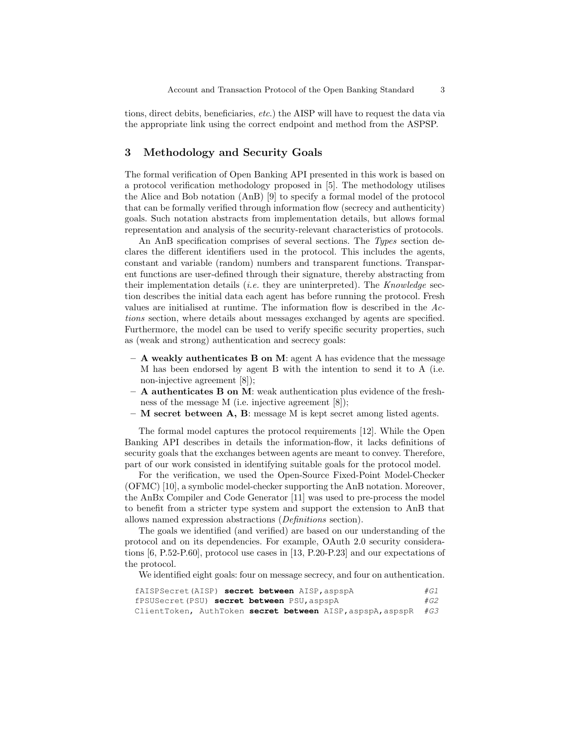tions, direct debits, beneficiaries, etc.) the AISP will have to request the data via the appropriate link using the correct endpoint and method from the ASPSP.

## 3 Methodology and Security Goals

The formal verification of Open Banking API presented in this work is based on a protocol verification methodology proposed in [5]. The methodology utilises the Alice and Bob notation (AnB) [9] to specify a formal model of the protocol that can be formally verified through information flow (secrecy and authenticity) goals. Such notation abstracts from implementation details, but allows formal representation and analysis of the security-relevant characteristics of protocols.

An AnB specification comprises of several sections. The Types section declares the different identifiers used in the protocol. This includes the agents, constant and variable (random) numbers and transparent functions. Transparent functions are user-defined through their signature, thereby abstracting from their implementation details *(i.e.* they are uninterpreted). The *Knowledge* section describes the initial data each agent has before running the protocol. Fresh values are initialised at runtime. The information flow is described in the Actions section, where details about messages exchanged by agents are specified. Furthermore, the model can be used to verify specific security properties, such as (weak and strong) authentication and secrecy goals:

- $-$  **A** weakly authenticates **B** on M: agent A has evidence that the message M has been endorsed by agent B with the intention to send it to A (i.e. non-injective agreement [8]);
- A authenticates B on M: weak authentication plus evidence of the freshness of the message M (i.e. injective agreement [8]);
- $M$  secret between  $A$ ,  $B$ : message M is kept secret among listed agents.

The formal model captures the protocol requirements [12]. While the Open Banking API describes in details the information-flow, it lacks definitions of security goals that the exchanges between agents are meant to convey. Therefore, part of our work consisted in identifying suitable goals for the protocol model.

For the verification, we used the Open-Source Fixed-Point Model-Checker (OFMC) [10], a symbolic model-checker supporting the AnB notation. Moreover, the AnBx Compiler and Code Generator [11] was used to pre-process the model to benefit from a stricter type system and support the extension to AnB that allows named expression abstractions (Definitions section).

The goals we identified (and verified) are based on our understanding of the protocol and on its dependencies. For example, OAuth 2.0 security considerations [6, P.52-P.60], protocol use cases in [13, P.20-P.23] and our expectations of the protocol.

We identified eight goals: four on message secrecy, and four on authentication.

| fAISPSecret (AISP) secret between AISP, aspspA |  |  |  |                                                                | #G1 |
|------------------------------------------------|--|--|--|----------------------------------------------------------------|-----|
| fPSUSecret (PSU) secret between PSU, aspspA    |  |  |  |                                                                | #G2 |
|                                                |  |  |  | ClientToken, AuthToken secret between AISP, aspspA, aspspR #G3 |     |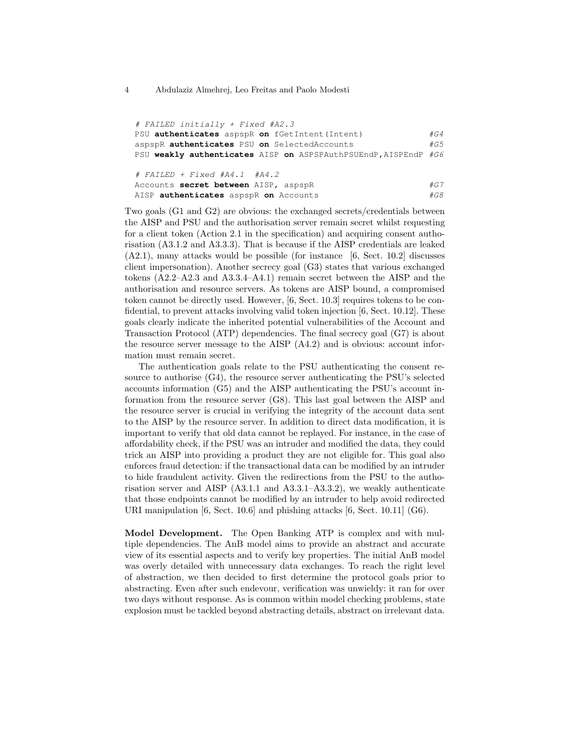4 Abdulaziz Almehrej, Leo Freitas and Paolo Modesti

```
# FAILED initially + Fixed #A2.3
PSU authenticates aspspR on fGetIntent(Intent) #G4
aspspR authenticates PSU on SelectedAccounts #G5
PSU weakly authenticates AISP on ASPSPAuthPSUEndP,AISPEndP #G6
# FAILED + Fixed #A4.1 #A4.2
Accounts secret between AISP, aspspR #G7AISP authenticates aspspR on Accounts \#G8
```
Two goals (G1 and G2) are obvious: the exchanged secrets/credentials between the AISP and PSU and the authorisation server remain secret whilst requesting for a client token (Action 2.1 in the specification) and acquiring consent authorisation (A3.1.2 and A3.3.3). That is because if the AISP credentials are leaked  $(A2.1)$ , many attacks would be possible (for instance [6, Sect. 10.2] discusses client impersonation). Another secrecy goal (G3) states that various exchanged tokens (A2.2–A2.3 and A3.3.4–A4.1) remain secret between the AISP and the authorisation and resource servers. As tokens are AISP bound, a compromised token cannot be directly used. However, [6, Sect. 10.3] requires tokens to be confidential, to prevent attacks involving valid token injection [6, Sect. 10.12]. These goals clearly indicate the inherited potential vulnerabilities of the Account and Transaction Protocol (ATP) dependencies. The final secrecy goal (G7) is about the resource server message to the AISP (A4.2) and is obvious: account information must remain secret.

The authentication goals relate to the PSU authenticating the consent resource to authorise (G4), the resource server authenticating the PSU's selected accounts information (G5) and the AISP authenticating the PSU's account information from the resource server (G8). This last goal between the AISP and the resource server is crucial in verifying the integrity of the account data sent to the AISP by the resource server. In addition to direct data modification, it is important to verify that old data cannot be replayed. For instance, in the case of affordability check, if the PSU was an intruder and modified the data, they could trick an AISP into providing a product they are not eligible for. This goal also enforces fraud detection: if the transactional data can be modified by an intruder to hide fraudulent activity. Given the redirections from the PSU to the authorisation server and AISP (A3.1.1 and A3.3.1–A3.3.2), we weakly authenticate that those endpoints cannot be modified by an intruder to help avoid redirected URI manipulation  $[6, Sect. 10.6]$  and phishing attacks  $[6, Sect. 10.11]$   $(G6)$ .

Model Development. The Open Banking ATP is complex and with multiple dependencies. The AnB model aims to provide an abstract and accurate view of its essential aspects and to verify key properties. The initial AnB model was overly detailed with unnecessary data exchanges. To reach the right level of abstraction, we then decided to first determine the protocol goals prior to abstracting. Even after such endevour, verification was unwieldy: it ran for over two days without response. As is common within model checking problems, state explosion must be tackled beyond abstracting details, abstract on irrelevant data.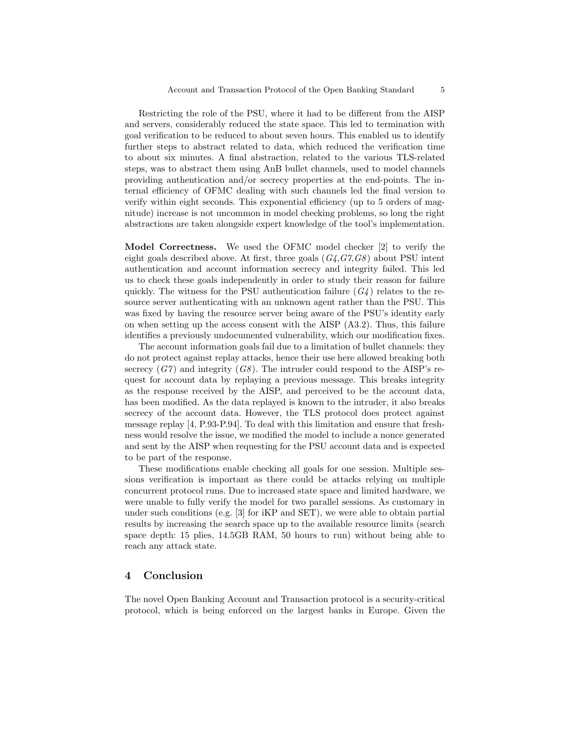Restricting the role of the PSU, where it had to be different from the AISP and servers, considerably reduced the state space. This led to termination with goal verification to be reduced to about seven hours. This enabled us to identify further steps to abstract related to data, which reduced the verification time to about six minutes. A final abstraction, related to the various TLS-related steps, was to abstract them using AnB bullet channels, used to model channels providing authentication and/or secrecy properties at the end-points. The internal efficiency of OFMC dealing with such channels led the final version to verify within eight seconds. This exponential efficiency (up to 5 orders of magnitude) increase is not uncommon in model checking problems, so long the right abstractions are taken alongside expert knowledge of the tool's implementation.

Model Correctness. We used the OFMC model checker [2] to verify the eight goals described above. At first, three goals  $(G_4, G_4, G_5)$  about PSU intent authentication and account information secrecy and integrity failed. This led us to check these goals independently in order to study their reason for failure quickly. The witness for the PSU authentication failure  $(G4)$  relates to the resource server authenticating with an unknown agent rather than the PSU. This was fixed by having the resource server being aware of the PSU's identity early on when setting up the access consent with the AISP (A3.2). Thus, this failure identifies a previously undocumented vulnerability, which our modification fixes.

The account information goals fail due to a limitation of bullet channels: they do not protect against replay attacks, hence their use here allowed breaking both secrecy  $(G7)$  and integrity  $(G8)$ . The intruder could respond to the AISP's request for account data by replaying a previous message. This breaks integrity as the response received by the AISP, and perceived to be the account data, has been modified. As the data replayed is known to the intruder, it also breaks secrecy of the account data. However, the TLS protocol does protect against message replay [4, P.93-P.94]. To deal with this limitation and ensure that freshness would resolve the issue, we modified the model to include a nonce generated and sent by the AISP when requesting for the PSU account data and is expected to be part of the response.

These modifications enable checking all goals for one session. Multiple sessions verification is important as there could be attacks relying on multiple concurrent protocol runs. Due to increased state space and limited hardware, we were unable to fully verify the model for two parallel sessions. As customary in under such conditions (e.g. [3] for iKP and SET), we were able to obtain partial results by increasing the search space up to the available resource limits (search space depth: 15 plies, 14.5GB RAM, 50 hours to run) without being able to reach any attack state.

### 4 Conclusion

The novel Open Banking Account and Transaction protocol is a security-critical protocol, which is being enforced on the largest banks in Europe. Given the